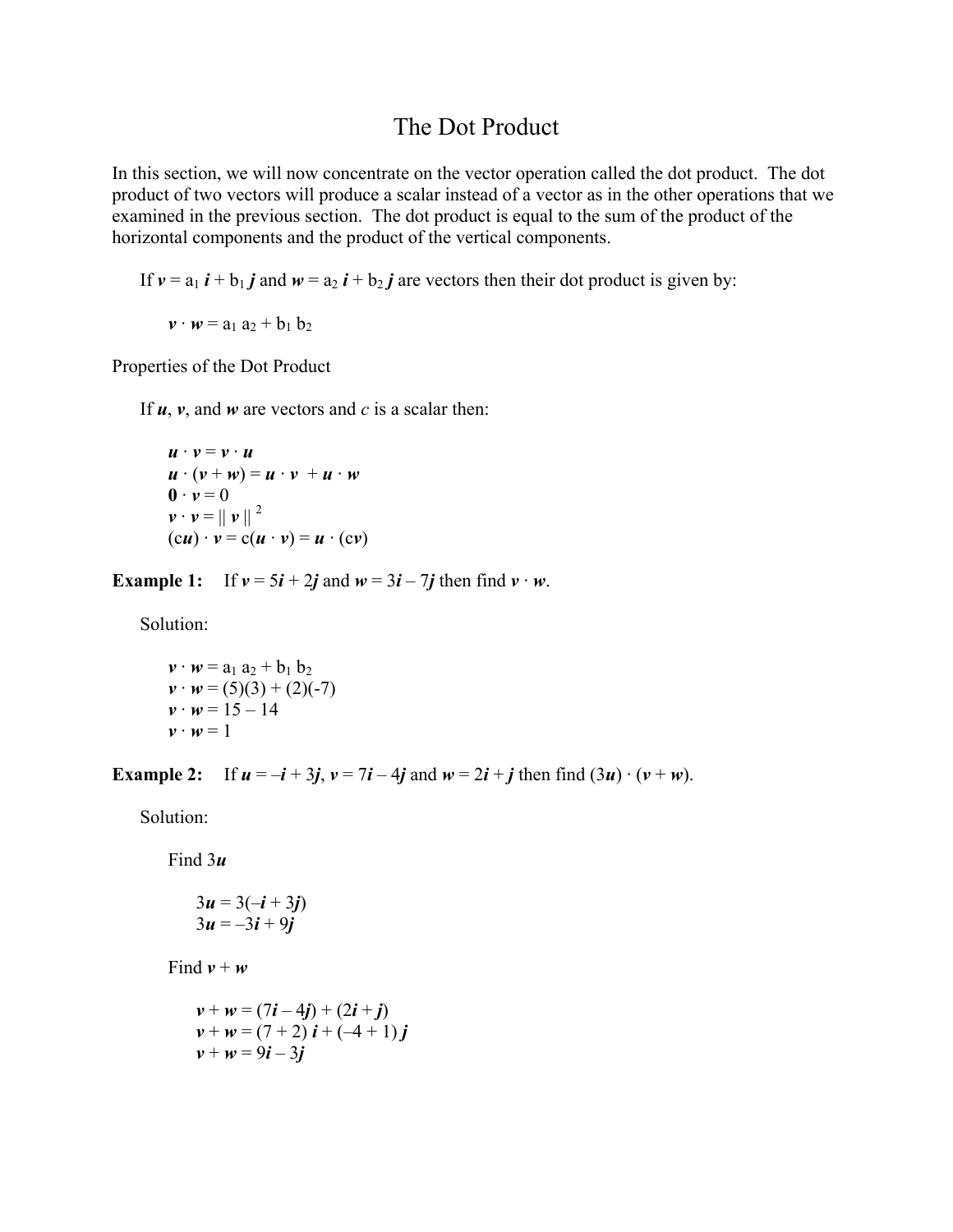# The Dot Product

In this section, we will now concentrate on the vector operation called the dot product. The dot product of two vectors will produce a scalar instead of a vector as in the other operations that we examined in the previous section. The dot product is equal to the sum of the product of the horizontal components and the product of the vertical components.

If  $v = a_1 i + b_1 j$  and  $w = a_2 i + b_2 j$  are vectors then their dot product is given by:

 $v \cdot w = a_1 a_2 + b_1 b_2$ 

Properties of the Dot Product

If  $u$ ,  $v$ , and  $w$  are vectors and  $c$  is a scalar then:

$$
\begin{aligned}\n\mathbf{u} \cdot \mathbf{v} &= \mathbf{v} \cdot \mathbf{u} \\
\mathbf{u} \cdot (\mathbf{v} + \mathbf{w}) &= \mathbf{u} \cdot \mathbf{v} + \mathbf{u} \cdot \mathbf{w} \\
\mathbf{0} \cdot \mathbf{v} &= 0 \\
\mathbf{v} \cdot \mathbf{v} &= ||\mathbf{v}||^2 \\
(\mathbf{c}\mathbf{u}) \cdot \mathbf{v} &= \mathbf{c}(\mathbf{u} \cdot \mathbf{v}) = \mathbf{u} \cdot (\mathbf{c}\mathbf{v})\n\end{aligned}
$$

**Example 1:** If  $v = 5i + 2j$  and  $w = 3i - 7j$  then find  $v \cdot w$ .

Solution:

 $v \cdot w = a_1 a_2 + b_1 b_2$  $v \cdot w = (5)(3) + (2)(-7)$  $v \cdot w = 15 - 14$  $v \cdot w = 1$ 

**Example 2:** If  $u = -i + 3j$ ,  $v = 7i - 4j$  and  $w = 2i + j$  then find  $(3u) \cdot (v + w)$ .

Solution:

Find 3*u*

$$
3u = 3(-i + 3j)
$$
  

$$
3u = -3i + 9j
$$

Find  $v + w$ 

$$
v + w = (7i - 4j) + (2i + j)
$$
  
\n
$$
v + w = (7 + 2) i + (-4 + 1) j
$$
  
\n
$$
v + w = 9i - 3j
$$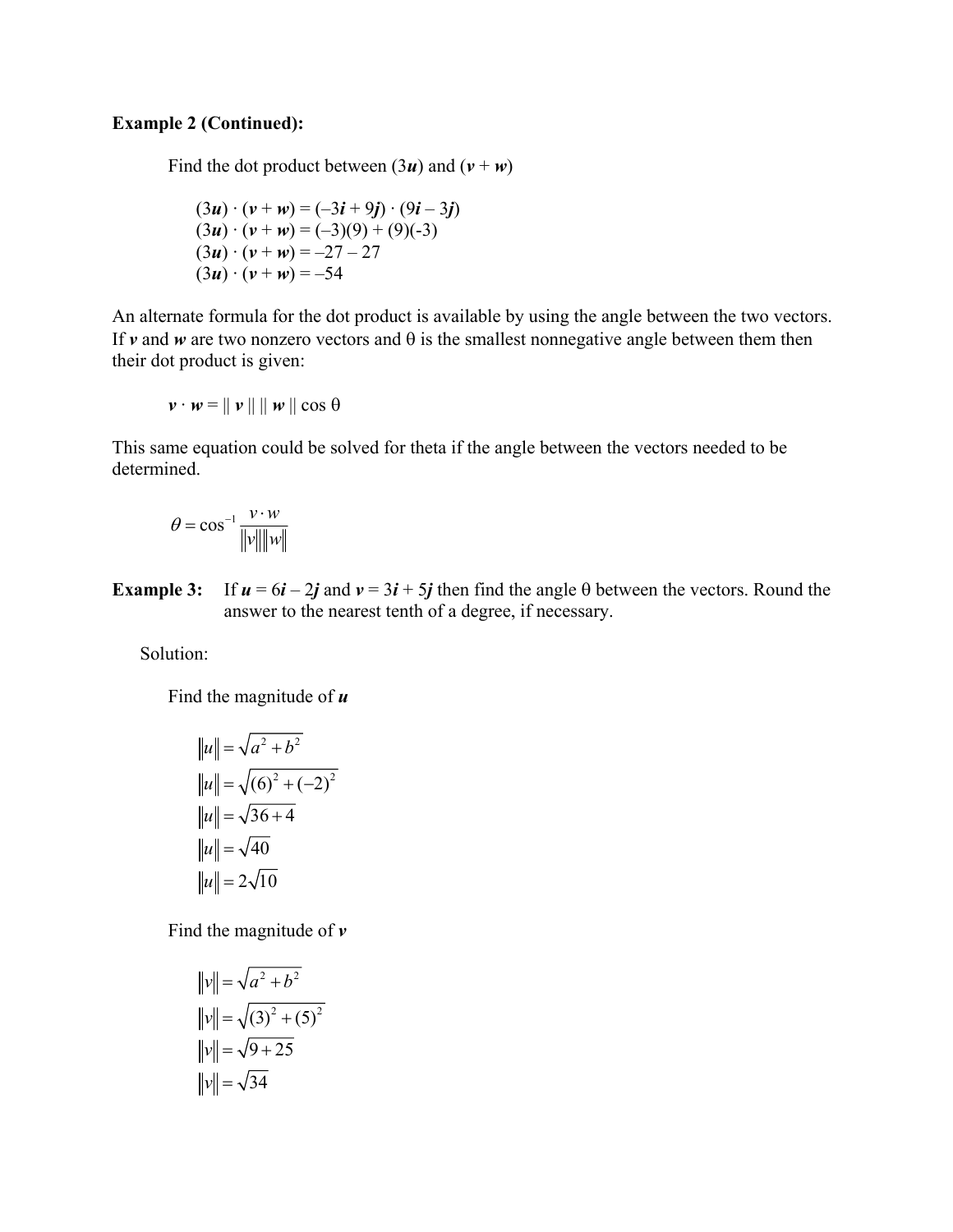## **Example 2 (Continued):**

Find the dot product between  $(3*u*)$  and  $(v + w)$ 

$$
(3u) \cdot (v + w) = (-3i + 9j) \cdot (9i - 3j)
$$
  
\n
$$
(3u) \cdot (v + w) = (-3)(9) + (9)(-3)
$$
  
\n
$$
(3u) \cdot (v + w) = -27 - 27
$$
  
\n
$$
(3u) \cdot (v + w) = -54
$$

An alternate formula for the dot product is available by using the angle between the two vectors. If  $\nu$  and  $\nu$  are two nonzero vectors and  $\theta$  is the smallest nonnegative angle between them then their dot product is given:

$$
\mathbf{v} \cdot \mathbf{w} = || \mathbf{v} || || \mathbf{w} || \cos \theta
$$

This same equation could be solved for theta if the angle between the vectors needed to be determined.

$$
\theta = \cos^{-1} \frac{v \cdot w}{\|v\| \|w\|}
$$

**Example 3:** If  $u = 6i - 2j$  and  $v = 3i + 5j$  then find the angle  $\theta$  between the vectors. Round the answer to the nearest tenth of a degree, if necessary.

Solution:

Find the magnitude of *u*

$$
||u|| = \sqrt{a^2 + b^2}
$$
  
\n
$$
||u|| = \sqrt{(6)^2 + (-2)^2}
$$
  
\n
$$
||u|| = \sqrt{36 + 4}
$$
  
\n
$$
||u|| = \sqrt{40}
$$
  
\n
$$
||u|| = 2\sqrt{10}
$$

Find the magnitude of *v*

$$
||v|| = \sqrt{a^2 + b^2}
$$
  
\n
$$
||v|| = \sqrt{(3)^2 + (5)^2}
$$
  
\n
$$
||v|| = \sqrt{9 + 25}
$$
  
\n
$$
||v|| = \sqrt{34}
$$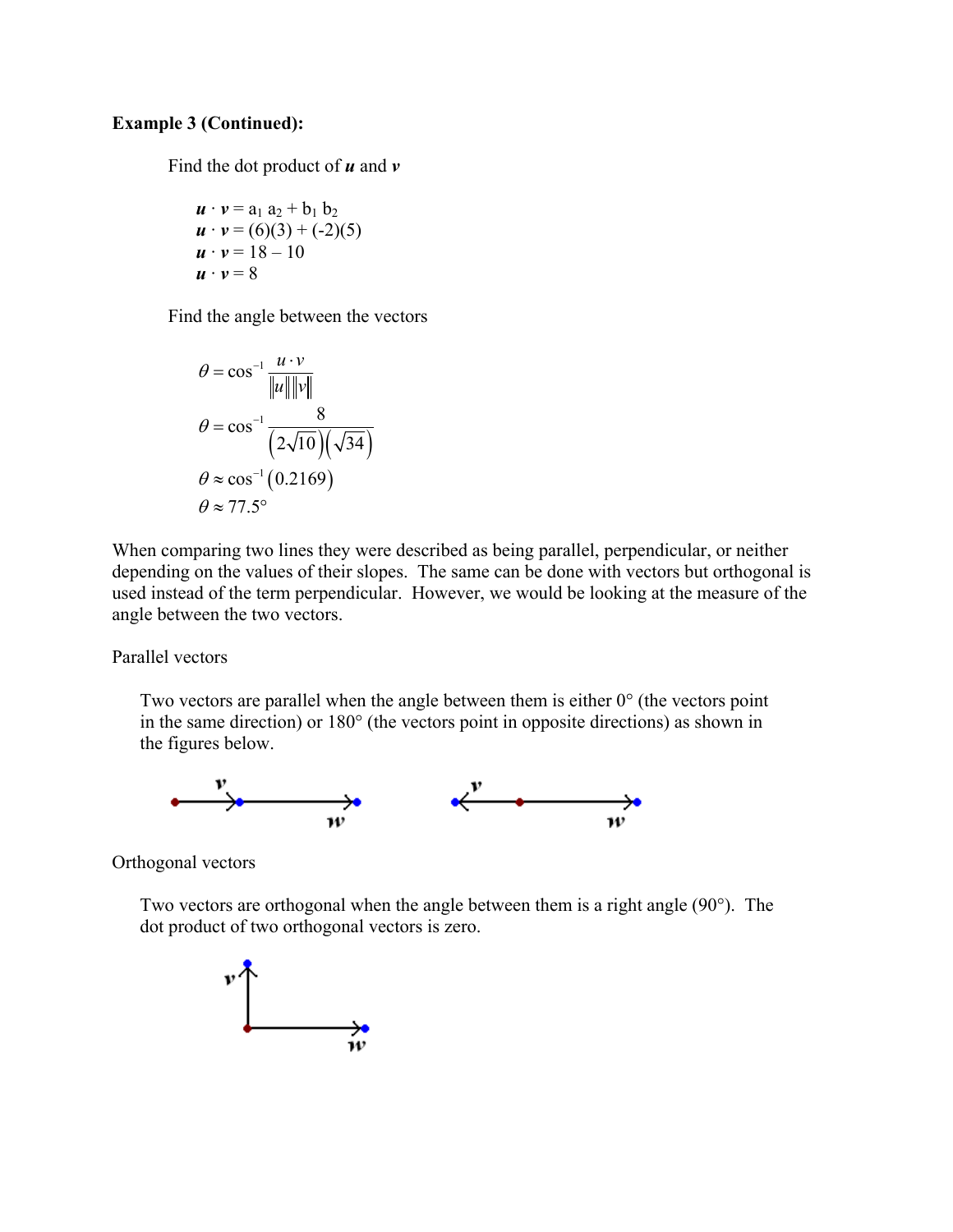#### **Example 3 (Continued):**

Find the dot product of *u* and *v*

$$
\begin{array}{l}\n\mathbf{u} \cdot \mathbf{v} = a_1 a_2 + b_1 b_2 \\
\mathbf{u} \cdot \mathbf{v} = (6)(3) + (-2)(5) \\
\mathbf{u} \cdot \mathbf{v} = 18 - 10 \\
\mathbf{u} \cdot \mathbf{v} = 8\n\end{array}
$$

Find the angle between the vectors

$$
\theta = \cos^{-1} \frac{u \cdot v}{\|u\| \|v\|}
$$

$$
\theta = \cos^{-1} \frac{8}{\left(2\sqrt{10}\right)\left(\sqrt{34}\right)}
$$

$$
\theta \approx \cos^{-1} \left(0.2169\right)
$$

$$
\theta \approx 77.5^{\circ}
$$

When comparing two lines they were described as being parallel, perpendicular, or neither depending on the values of their slopes. The same can be done with vectors but orthogonal is used instead of the term perpendicular. However, we would be looking at the measure of the angle between the two vectors.

Parallel vectors

Two vectors are parallel when the angle between them is either  $0^{\circ}$  (the vectors point in the same direction) or 180° (the vectors point in opposite directions) as shown in the figures below.



Orthogonal vectors

 Two vectors are orthogonal when the angle between them is a right angle (90°). The dot product of two orthogonal vectors is zero.

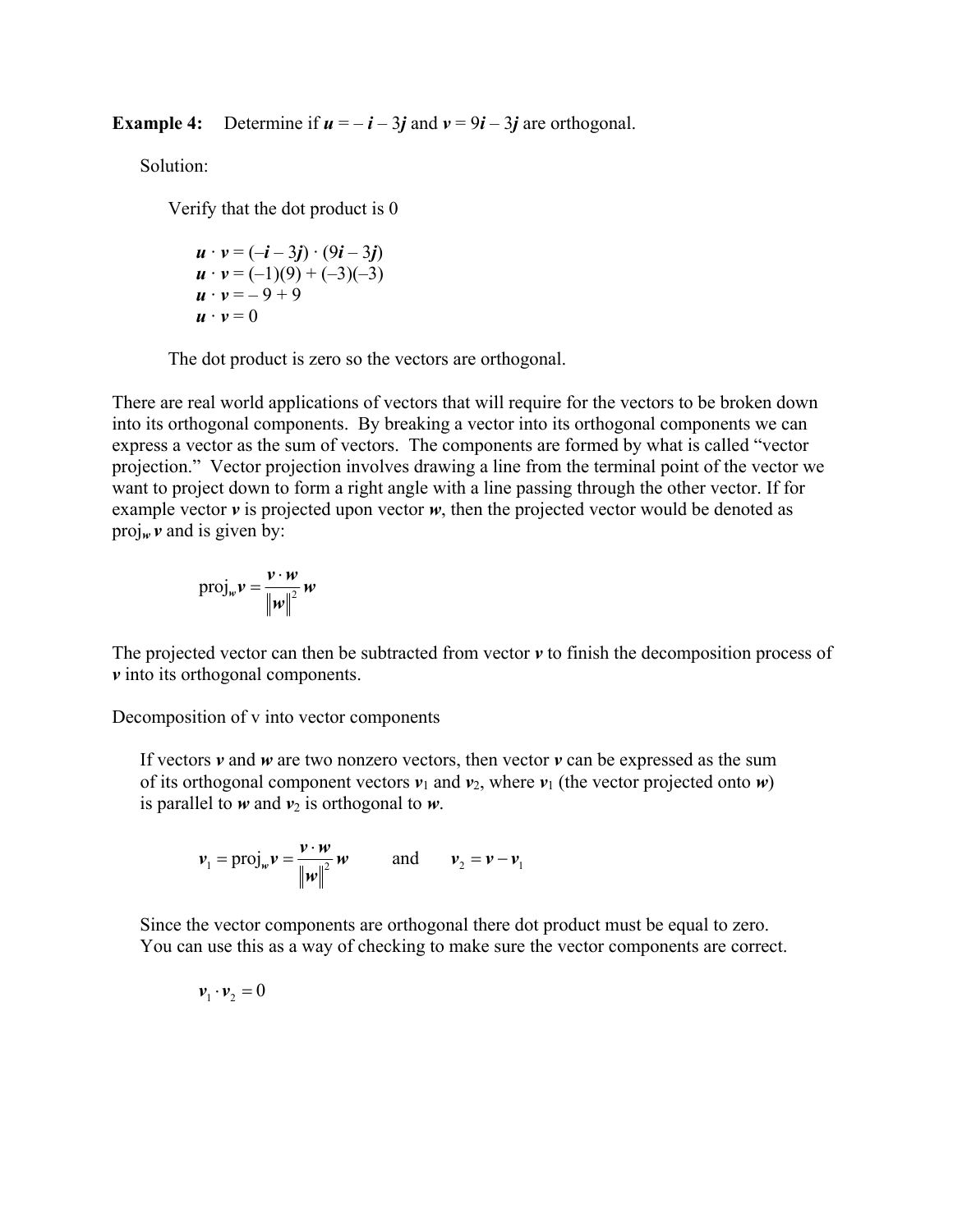**Example 4:** Determine if  $u = -i - 3j$  and  $v = 9i - 3j$  are orthogonal.

Solution:

Verify that the dot product is 0

$$
\begin{array}{l}\n\mathbf{u} \cdot \mathbf{v} = (-\mathbf{i} - 3\mathbf{j}) \cdot (9\mathbf{i} - 3\mathbf{j}) \\
\mathbf{u} \cdot \mathbf{v} = (-1)(9) + (-3)(-3) \\
\mathbf{u} \cdot \mathbf{v} = -9 + 9 \\
\mathbf{u} \cdot \mathbf{v} = 0\n\end{array}
$$

The dot product is zero so the vectors are orthogonal.

There are real world applications of vectors that will require for the vectors to be broken down into its orthogonal components. By breaking a vector into its orthogonal components we can express a vector as the sum of vectors. The components are formed by what is called "vector projection." Vector projection involves drawing a line from the terminal point of the vector we want to project down to form a right angle with a line passing through the other vector. If for example vector  $\nu$  is projected upon vector  $\nu$ , then the projected vector would be denoted as proj<sub>*w*</sub>  $\nu$  and is given by:

$$
\text{proj}_{w} \mathbf{v} = \frac{\mathbf{v} \cdot \mathbf{w}}{\left\| \mathbf{w} \right\|^2} \mathbf{w}
$$

The projected vector can then be subtracted from vector  $\nu$  to finish the decomposition process of *v* into its orthogonal components.

Decomposition of v into vector components

 If vectors *v* and *w* are two nonzero vectors, then vector *v* can be expressed as the sum of its orthogonal component vectors  $v_1$  and  $v_2$ , where  $v_1$  (the vector projected onto *w*) is parallel to  $w$  and  $v_2$  is orthogonal to  $w$ .

$$
\boldsymbol{\nu}_1 = \text{proj}_{\boldsymbol{w}} \boldsymbol{\nu} = \frac{\boldsymbol{v} \cdot \boldsymbol{w}}{\left\| \boldsymbol{w} \right\|^2} \boldsymbol{w} \quad \text{and} \quad \boldsymbol{\nu}_2 = \boldsymbol{\nu} - \boldsymbol{\nu}_1
$$

 Since the vector components are orthogonal there dot product must be equal to zero. You can use this as a way of checking to make sure the vector components are correct.

 $v_1 \cdot v_2 = 0$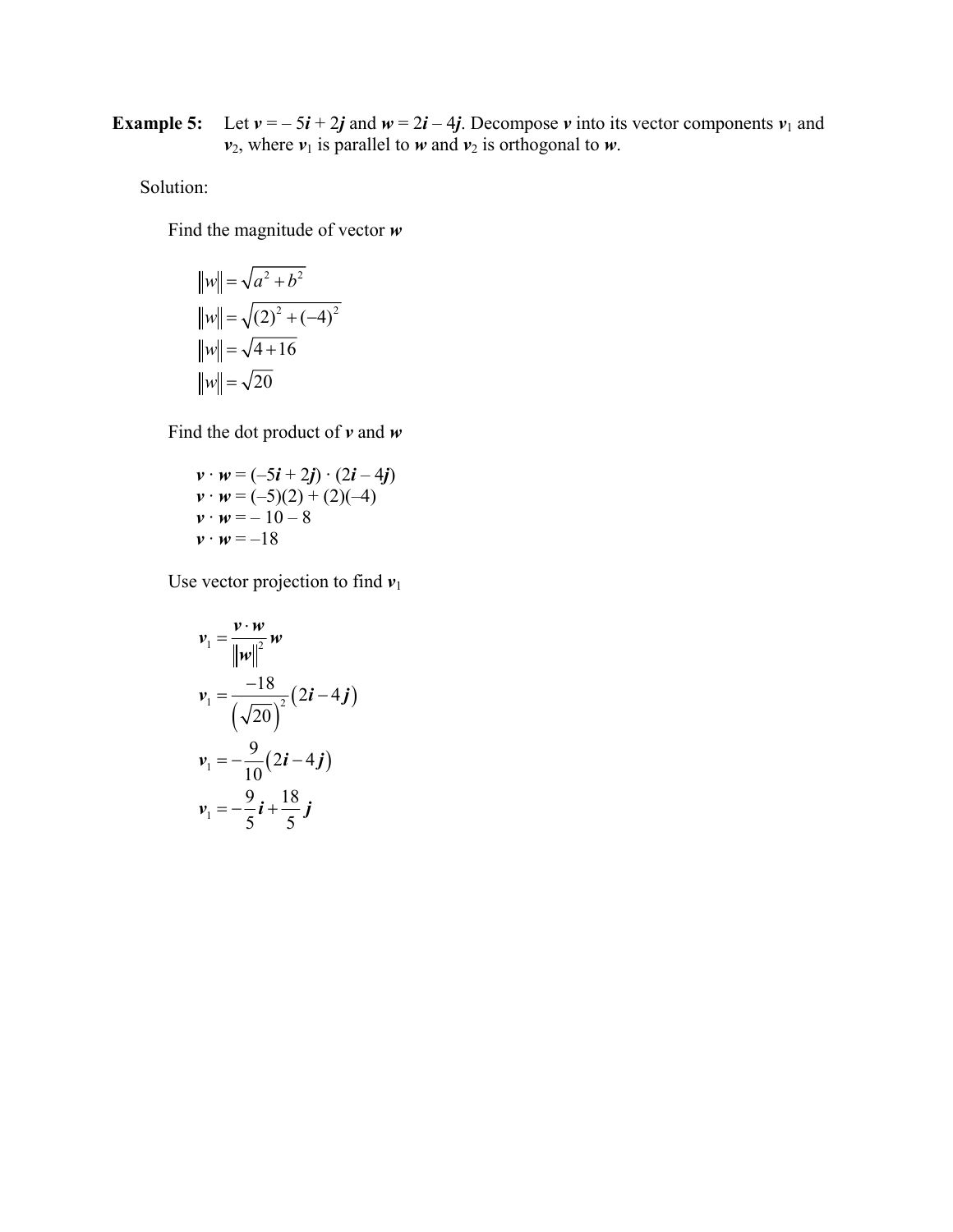**Example 5:** Let  $v = -5i + 2j$  and  $w = 2i - 4j$ . Decompose *v* into its vector components  $v_1$  and  $v_2$ , where  $v_1$  is parallel to *w* and  $v_2$  is orthogonal to *w*.

# Solution:

Find the magnitude of vector *w*

$$
||w|| = \sqrt{a^2 + b^2}
$$
  
\n
$$
||w|| = \sqrt{(2)^2 + (-4)^2}
$$
  
\n
$$
||w|| = \sqrt{4 + 16}
$$
  
\n
$$
||w|| = \sqrt{20}
$$

Find the dot product of *v* and *w*

$$
\begin{array}{l}\n v \cdot w = (-5i + 2j) \cdot (2i - 4j) \\
 v \cdot w = (-5)(2) + (2)(-4) \\
 v \cdot w = -10 - 8 \\
 v \cdot w = -18\n\end{array}
$$

Use vector projection to find  $v_1$ 

$$
v_1 = \frac{v \cdot w}{\left\|w\right\|^2} w
$$
  

$$
v_1 = \frac{-18}{\left(\sqrt{20}\right)^2} (2i - 4j)
$$
  

$$
v_1 = -\frac{9}{10} (2i - 4j)
$$
  

$$
v_1 = -\frac{9}{5}i + \frac{18}{5}j
$$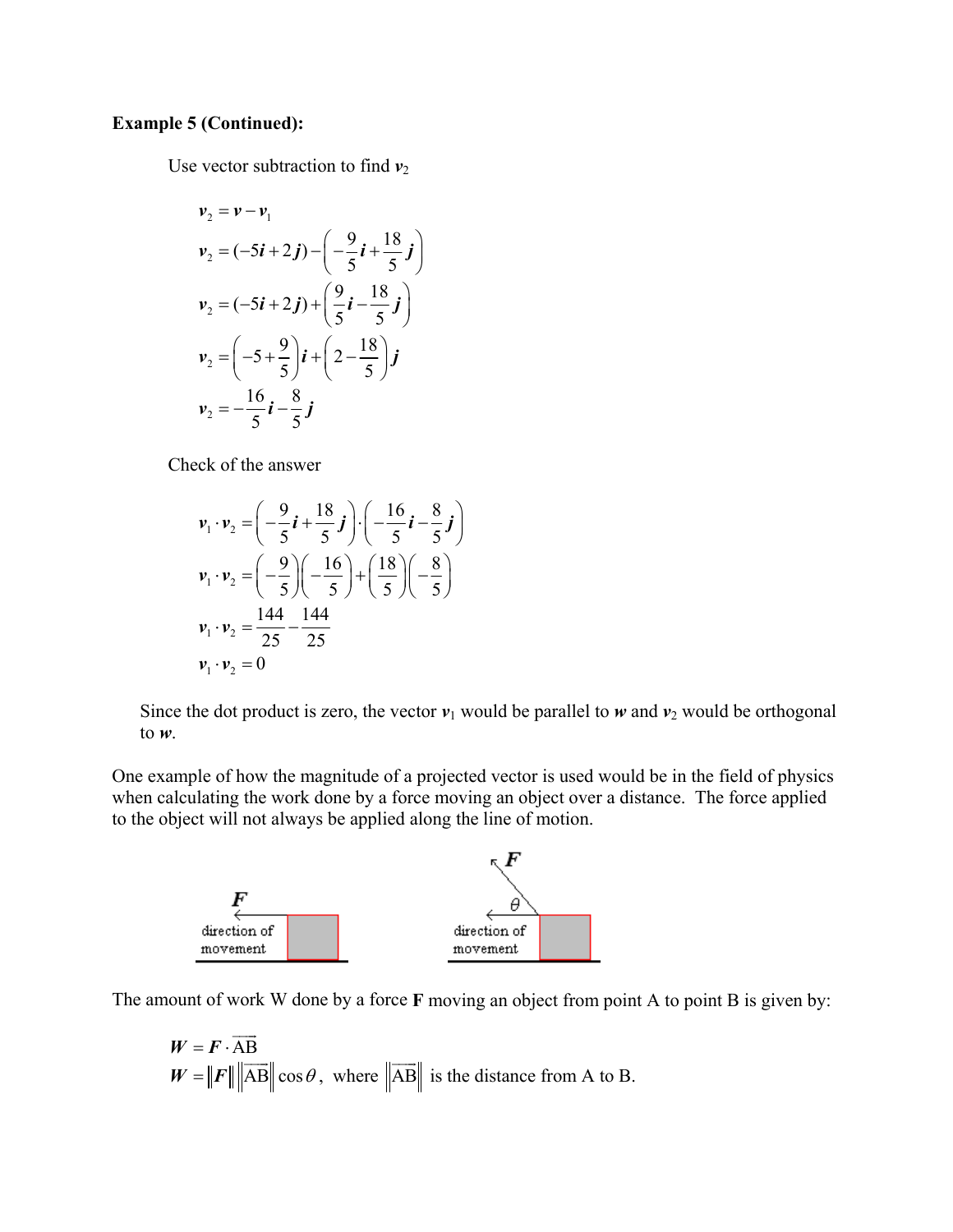## **Example 5 (Continued):**

Use vector subtraction to find  $v_2$ 

$$
v_2 = v - v_1
$$
  
\n
$$
v_2 = (-5i + 2j) - \left(-\frac{9}{5}i + \frac{18}{5}j\right)
$$
  
\n
$$
v_2 = (-5i + 2j) + \left(\frac{9}{5}i - \frac{18}{5}j\right)
$$
  
\n
$$
v_2 = \left(-5 + \frac{9}{5}\right)i + \left(2 - \frac{18}{5}\right)j
$$
  
\n
$$
v_2 = -\frac{16}{5}i - \frac{8}{5}j
$$

Check of the answer

$$
\mathbf{v}_1 \cdot \mathbf{v}_2 = \left( -\frac{9}{5} \mathbf{i} + \frac{18}{5} \mathbf{j} \right) \cdot \left( -\frac{16}{5} \mathbf{i} - \frac{8}{5} \mathbf{j} \right)
$$
\n
$$
\mathbf{v}_1 \cdot \mathbf{v}_2 = \left( -\frac{9}{5} \right) \left( -\frac{16}{5} \right) + \left( \frac{18}{5} \right) \left( -\frac{8}{5} \right)
$$
\n
$$
\mathbf{v}_1 \cdot \mathbf{v}_2 = \frac{144}{25} - \frac{144}{25}
$$
\n
$$
\mathbf{v}_1 \cdot \mathbf{v}_2 = 0
$$

Since the dot product is zero, the vector  $v_1$  would be parallel to *w* and  $v_2$  would be orthogonal to *w*.

One example of how the magnitude of a projected vector is used would be in the field of physics when calculating the work done by a force moving an object over a distance. The force applied to the object will not always be applied along the line of motion.



The amount of work W done by a force **F** moving an object from point A to point B is given by:

$$
W = \mathbf{F} \cdot \overrightarrow{AB}
$$
  
 
$$
W = ||\mathbf{F}|| ||\overrightarrow{AB}|| \cos \theta
$$
, where  $||\overrightarrow{AB}||$  is the distance from A to B.